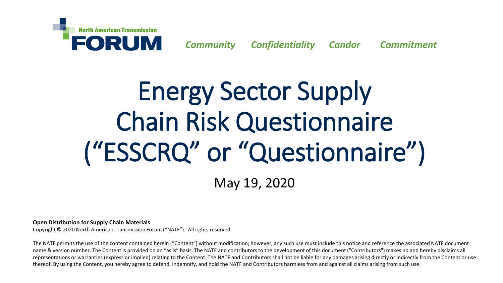

*Community Confidentiality Candor Commitment*

# Energy Sector Supply Chain Risk Questionnaire ("ESSCRQ" or "Questionnaire")

May 19, 2020

**Open Distribution for Supply Chain Materials**

Copyright © 2020 North American Transmission Forum ("NATF"). All rights reserved.

The NATF permits the use of the content contained herein ("Content") without modification; however, any such use must include this notice and reference the associated NATF document name & version number. The Content is provided on an "as is" basis. The NATF and contributors to the development of this document ("Contributors") makes no and hereby disclaims all representations or warranties (express or implied) relating to the Content. The NATF and Contributors shall not be liable for any damages arising directly or indirectly from the Content or use thereof. By using the Content, you hereby agree to defend, indemnify, and hold the NATF and Contributors harmless from and against all claims arising from such use.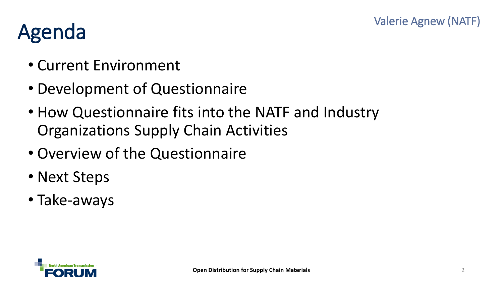## Agenda

- Current Environment
- Development of Questionnaire
- How Questionnaire fits into the NATF and Industry Organizations Supply Chain Activities
- Overview of the Questionnaire
- Next Steps
- Take-aways

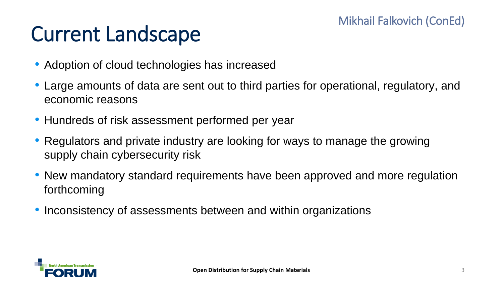## Current Landscape

- Adoption of cloud technologies has increased
- Large amounts of data are sent out to third parties for operational, regulatory, and economic reasons
- Hundreds of risk assessment performed per year
- Regulators and private industry are looking for ways to manage the growing supply chain cybersecurity risk
- New mandatory standard requirements have been approved and more regulation forthcoming
- Inconsistency of assessments between and within organizations

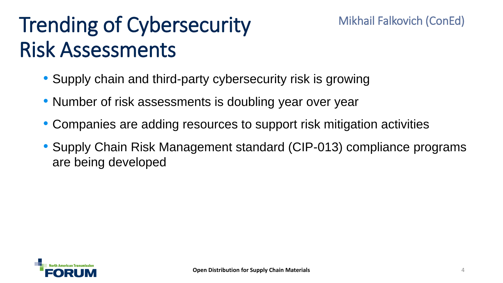## Trending of Cybersecurity Risk Assessments

- Supply chain and third-party cybersecurity risk is growing
- Number of risk assessments is doubling year over year
- Companies are adding resources to support risk mitigation activities
- Supply Chain Risk Management standard (CIP-013) compliance programs are being developed



Mikhail Falkovich (ConEd)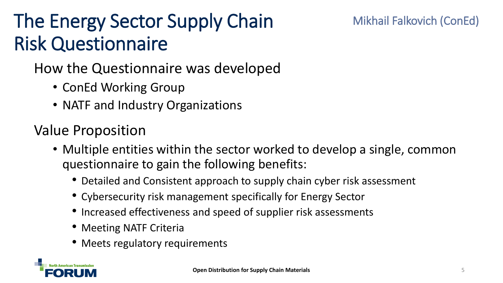## The Energy Sector Supply Chain Risk Questionnaire

#### Mikhail Falkovich (ConEd)

How the Questionnaire was developed

- ConEd Working Group
- NATF and Industry Organizations

### Value Proposition

- Multiple entities within the sector worked to develop a single, common questionnaire to gain the following benefits:
	- Detailed and Consistent approach to supply chain cyber risk assessment
	- Cybersecurity risk management specifically for Energy Sector
	- Increased effectiveness and speed of supplier risk assessments
	- Meeting NATF Criteria
	- Meets regulatory requirements

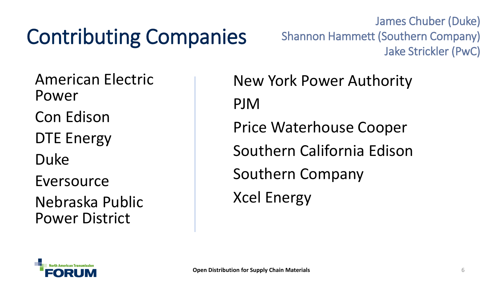## Contributing Companies

James Chuber (Duke) Shannon Hammett (Southern Company) Jake Strickler (PwC)

American Electric Power Con Edison DTE Energy Duke Eversource

Nebraska Public Power District

New York Power Authority PJM Price Waterhouse Cooper Southern California Edison Southern Company Xcel Energy

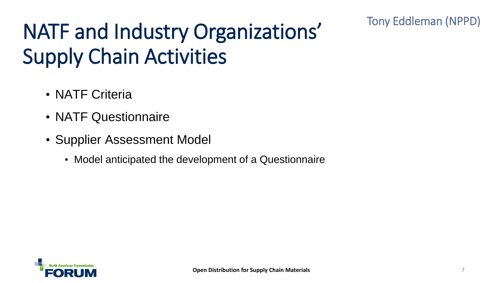#### Tony Eddleman (NPPD)

## NATF and Industry Organizations' Supply Chain Activities

- NATF Criteria
- NATF Questionnaire
- Supplier Assessment Model
	- Model anticipated the development of a Questionnaire

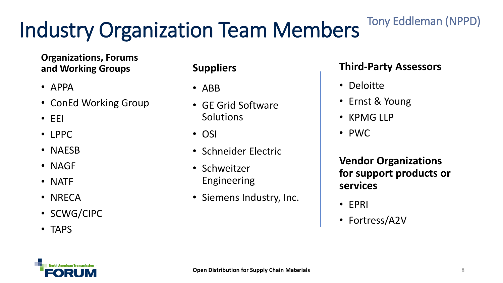## Industry Organization Team Members

#### **Organizations, Forums and Working Groups**

- APPA
- ConEd Working Group
- EEI
- LPPC
- NAESB
- NAGF
- NATF
- NRECA
- SCWG/CIPC
- TAPS

#### **Suppliers**

- ABB
- GE Grid Software **Solutions**
- OSI
- Schneider Electric
- Schweitzer Engineering
- Siemens Industry, Inc.

#### **Third-Party Assessors**

Tony Eddleman (NPPD)

- Deloitte
- Ernst & Young
- KPMG LLP
- PWC

**Vendor Organizations for support products or services**

- EPRI
- Fortress/A2V

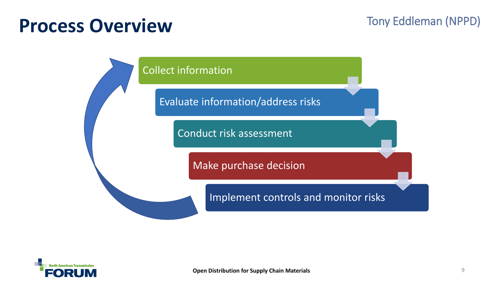### **Process Overview**

#### Tony Eddleman (NPPD)



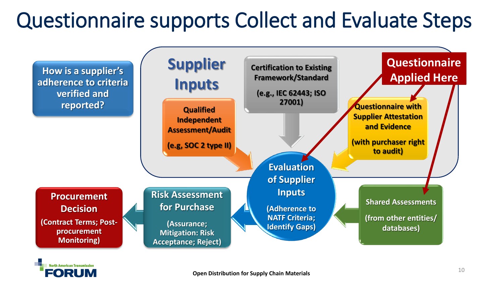## Questionnaire supports Collect and Evaluate Steps



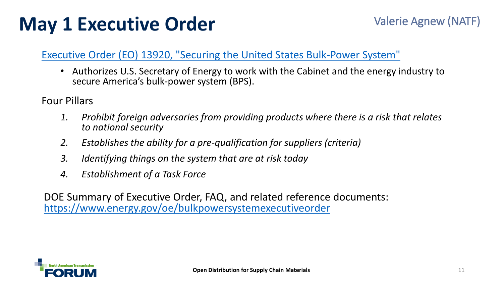### **May 1 Executive Order**

#### [Executive Order \(EO\) 13920, "Securing the United States Bulk-Power System"](https://www.whitehouse.gov/presidential-actions/executive-order-securing-united-states-bulk-power-system/)

• Authorizes U.S. Secretary of Energy to work with the Cabinet and the energy industry to secure America's bulk-power system (BPS).

Four Pillars

- *1. Prohibit foreign adversaries from providing products where there is a risk that relates to national security*
- *2. Establishes the ability for a pre-qualification for suppliers (criteria)*
- *3. Identifying things on the system that are at risk today*
- *4. Establishment of a Task Force*

DOE Summary of Executive Order, FAQ, and related reference documents: <https://www.energy.gov/oe/bulkpowersystemexecutiveorder>

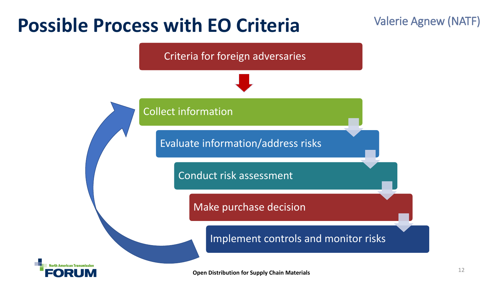### **Possible Process with EO Criteria**

#### Valerie Agnew (NATF)

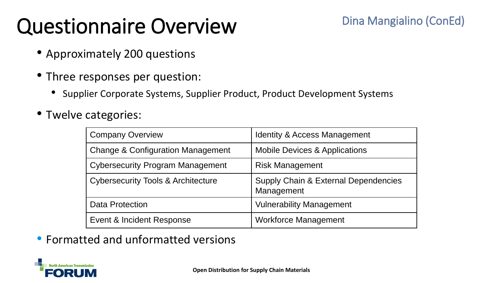## Questionnaire Overview

- Approximately 200 questions
- Three responses per question:
	- Supplier Corporate Systems, Supplier Product, Product Development Systems
- Twelve categories:

| <b>Company Overview</b>                       | <b>Identity &amp; Access Management</b>                       |
|-----------------------------------------------|---------------------------------------------------------------|
| <b>Change &amp; Configuration Management</b>  | <b>Mobile Devices &amp; Applications</b>                      |
| <b>Cybersecurity Program Management</b>       | <b>Risk Management</b>                                        |
| <b>Cybersecurity Tools &amp; Architecture</b> | <b>Supply Chain &amp; External Dependencies</b><br>Management |
| <b>Data Protection</b>                        | <b>Vulnerability Management</b>                               |
| Event & Incident Response                     | <b>Workforce Management</b>                                   |

• Formatted and unformatted versions

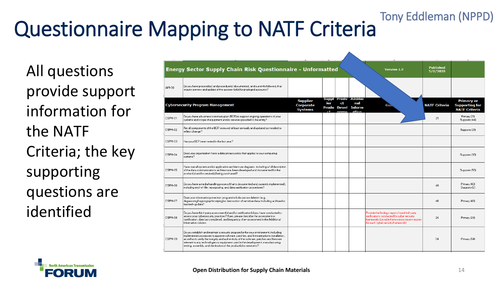#### Questionnaire Mapping to NATF Criteria Tony Eddleman (NPPD)

All questions provide support information for the NATF Criteria; the key supporting questions are identified

|         | Energy Sector Supply Chain Risk Questionnaire - Unformatted                                                                                                                                                                                                                                                                                                                                                                               |                                                       |            |    |                                                                       | Version 1.0                                                                                                                                                                           | <b>Published</b><br>5/8/2020 |                                                                    |
|---------|-------------------------------------------------------------------------------------------------------------------------------------------------------------------------------------------------------------------------------------------------------------------------------------------------------------------------------------------------------------------------------------------------------------------------------------------|-------------------------------------------------------|------------|----|-----------------------------------------------------------------------|---------------------------------------------------------------------------------------------------------------------------------------------------------------------------------------|------------------------------|--------------------------------------------------------------------|
| IAM-30  | Do you have process(es) and procedure(s) documented, and currently followed, that<br>require a review and update of the access-list(s) for privileged accounts?                                                                                                                                                                                                                                                                           |                                                       |            |    |                                                                       |                                                                                                                                                                                       |                              |                                                                    |
|         | <b>Cybersecurity Program Management</b>                                                                                                                                                                                                                                                                                                                                                                                                   | <b>Supplier</b><br><b>Corporate</b><br><b>Systems</b> | ier<br>r#. | ct | Suppi Produ Additio<br>nal<br><b>Produ Devel Inform</b><br>onmo ation | <b>GUIN</b>                                                                                                                                                                           | <b>NATF Criteria</b>         | <b>Primary or</b><br><b>Supporting for</b><br><b>NATF Criteria</b> |
| CSPM-01 | Do you have a business continuity plan (BCP) to support ongoing operations of your<br>systems and scope of equipment and/or services provided to the entity?                                                                                                                                                                                                                                                                              |                                                       |            |    |                                                                       |                                                                                                                                                                                       | 21                           | Primary (21)<br>Supports (44)                                      |
| CSPM-02 | Are all components of the BCP reviewed at least annually and updated as needed to<br>reflect change?                                                                                                                                                                                                                                                                                                                                      |                                                       |            |    |                                                                       |                                                                                                                                                                                       |                              | Supports (21)                                                      |
| CSPM-03 | Has your BCP been tested in the last year?                                                                                                                                                                                                                                                                                                                                                                                                |                                                       |            |    |                                                                       |                                                                                                                                                                                       |                              |                                                                    |
| CSPM-04 | $\big\lceil$ Does your organization have a data privacy policy that applies to your computing<br>sustems?                                                                                                                                                                                                                                                                                                                                 |                                                       |            |    |                                                                       |                                                                                                                                                                                       |                              | Supports (38)                                                      |
| CSPM-05 | Have overall system and/or application architecture diagrams, including a full description<br>of the data communications architecture, been developed and documented for the<br>product(s) and/or service(s) being purchased?                                                                                                                                                                                                             |                                                       |            |    |                                                                       |                                                                                                                                                                                       |                              | Supports (56)                                                      |
| CSPM-06 | Do you have a media handling process (that is documented and currently implemented),<br>including end-of-life, repurposing, and data sanitization procedures?                                                                                                                                                                                                                                                                             |                                                       |            |    |                                                                       |                                                                                                                                                                                       | 40                           | Primary (40)<br>Supports (2)                                       |
| CSPM-07 | Does your information protection program include secure deletion (e.g.,<br>degaussing/oryptographic wiping) or destruction of sensitive data, including archived or<br>backed-up data?                                                                                                                                                                                                                                                    |                                                       |            |    |                                                                       |                                                                                                                                                                                       | 46                           | Primary (46)                                                       |
| CSPM-08 | $\vert$ Do you have third-party assessment(s) and/or certification(s) you have conducted to<br>assess your cybersecurity practices? If yes, please describe the assessment or<br>certification, date last completed, and frequency of re-assessment in the Additional<br>Information column.                                                                                                                                              |                                                       |            |    |                                                                       | Provide the findings reports from third-party<br>verifications conducted for cyber security<br>frameworks (provide the two most recent reports<br>for each cyber security framework). | 24                           | Primary (24)                                                       |
| CSPM-09 | Do you establish and maintain a security program for the your environment, including<br>implemented processes to approve software, patches, and firmware prior to installation,<br>as well as to verify the integrity and authenticity of the software, patches and firmware<br>relevant to any technologies or equipment used in the development, manufacturing,<br>testing, assembly, and distribution of the product(s) or service(s)? |                                                       |            |    |                                                                       |                                                                                                                                                                                       | 54                           | Primary (54)                                                       |

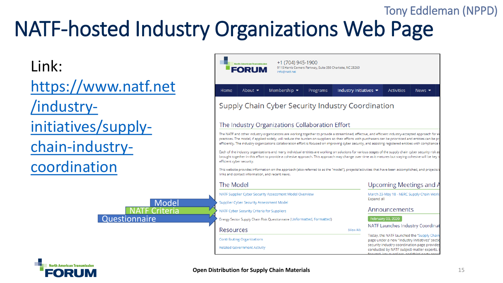### NATF-hosted Industry Organizations Web Page Tony Eddleman (NPPD)

#### Link:

[https://www.natf.net](https://www.natf.net/industry-initiatives/supply-chain-industry-coordination) /industryinitiatives/supplychain-industrycoordination

**Questionnaire** 

**NATE** Criteria

Model



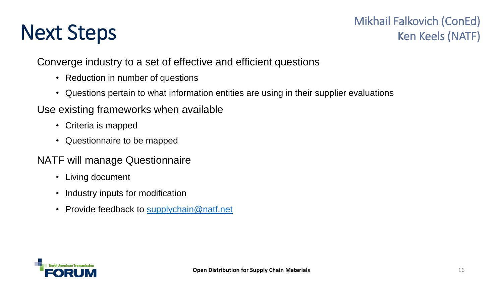## Next Steps

#### Mikhail Falkovich (ConEd) Ken Keels (NATF)

#### Converge industry to a set of effective and efficient questions

- Reduction in number of questions
- Questions pertain to what information entities are using in their supplier evaluations

#### Use existing frameworks when available

- Criteria is mapped
- Questionnaire to be mapped

#### NATF will manage Questionnaire

- Living document
- Industry inputs for modification
- Provide feedback to [supplychain@natf.net](mailto:supplychain@natf.net)

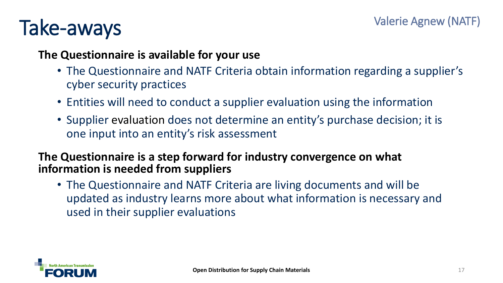## Take-aways

#### **The Questionnaire is available for your use**

- The Questionnaire and NATF Criteria obtain information regarding a supplier's cyber security practices
- Entities will need to conduct a supplier evaluation using the information
- Supplier evaluation does not determine an entity's purchase decision; it is one input into an entity's risk assessment

#### **The Questionnaire is a step forward for industry convergence on what information is needed from suppliers**

• The Questionnaire and NATF Criteria are living documents and will be updated as industry learns more about what information is necessary and used in their supplier evaluations